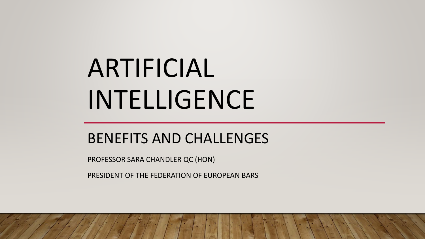# ARTIFICIAL INTELLIGENCE

#### BENEFITS AND CHALLENGES

PROFESSOR SARA CHANDLER QC (HON)

PRESIDENT OF THE FEDERATION OF EUROPEAN BARS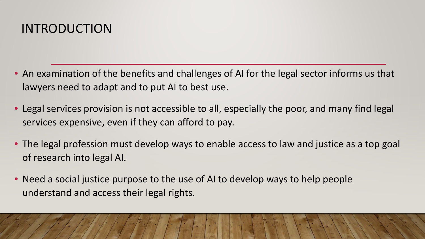#### INTRODUCTION

- An examination of the benefits and challenges of AI for the legal sector informs us that lawyers need to adapt and to put AI to best use.
- Legal services provision is not accessible to all, especially the poor, and many find legal services expensive, even if they can afford to pay.
- The legal profession must develop ways to enable access to law and justice as a top goal of research into legal AI.
- Need a social justice purpose to the use of AI to develop ways to help people understand and access their legal rights.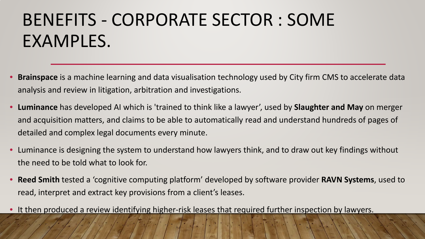### BENEFITS - CORPORATE SECTOR : SOME EXAMPLES.

- **Brainspace** is a machine learning and data visualisation technology used by City firm CMS to accelerate data analysis and review in litigation, arbitration and investigations.
- **Luminance** has developed AI which is 'trained to think like a lawyer', used by **Slaughter and May** on merger and acquisition matters, and claims to be able to automatically read and understand hundreds of pages of detailed and complex legal documents every minute.
- Luminance is designing the system to understand how lawyers think, and to draw out key findings without the need to be told what to look for.
- **Reed Smith** tested a 'cognitive computing platform' developed by software provider **RAVN Systems**, used to read, interpret and extract key provisions from a client's leases.
- It then produced a review identifying higher-risk leases that required further inspection by lawyers.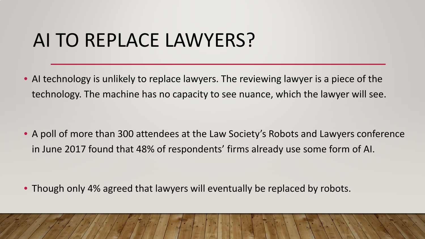## AI TO REPLACE LAWYERS?

• AI technology is unlikely to replace lawyers. The reviewing lawyer is a piece of the technology. The machine has no capacity to see nuance, which the lawyer will see.

• A poll of more than 300 attendees at the Law Society's Robots and Lawyers conference in June 2017 found that 48% of respondents' firms already use some form of AI.

• Though only 4% agreed that lawyers will eventually be replaced by robots.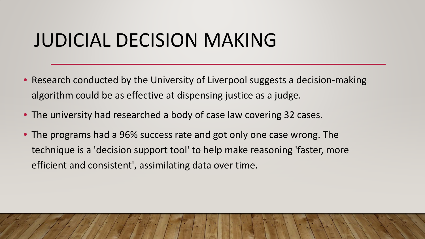### JUDICIAL DECISION MAKING

- Research conducted by the University of Liverpool suggests a decision-making algorithm could be as effective at dispensing justice as a judge.
- The university had researched a body of case law covering 32 cases.
- The programs had a 96% success rate and got only one case wrong. The technique is a 'decision support tool' to help make reasoning 'faster, more efficient and consistent', assimilating data over time.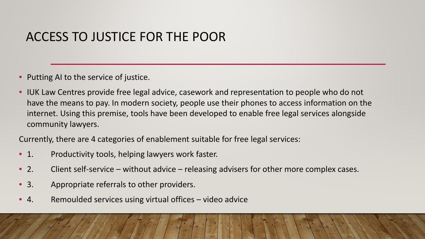#### ACCESS TO JUSTICE FOR THE POOR

- Putting AI to the service of justice.
- IUK Law Centres provide free legal advice, casework and representation to people who do not have the means to pay. In modern society, people use their phones to access information on the internet. Using this premise, tools have been developed to enable free legal services alongside community lawyers.

Currently, there are 4 categories of enablement suitable for free legal services:

- 1. Productivity tools, helping lawyers work faster.
- 2. Client self-service without advice releasing advisers for other more complex cases.
- 3. Appropriate referrals to other providers.
- 4. Remoulded services using virtual offices video advice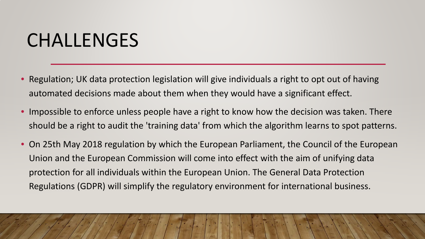### CHALLENGES

- Regulation; UK data protection legislation will give individuals a right to opt out of having automated decisions made about them when they would have a significant effect.
- Impossible to enforce unless people have a right to know how the decision was taken. There should be a right to audit the 'training data' from which the algorithm learns to spot patterns.
- On 25th May 2018 regulation by which the European Parliament, the Council of the European Union and the European Commission will come into effect with the aim of unifying data protection for all individuals within the European Union. The General Data Protection Regulations (GDPR) will simplify the regulatory environment for international business.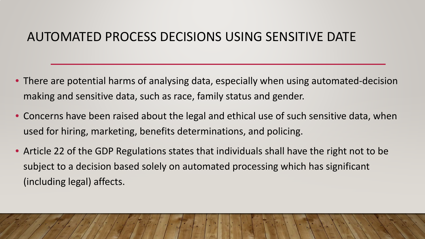#### AUTOMATED PROCESS DECISIONS USING SENSITIVE DATE

- There are potential harms of analysing data, especially when using automated-decision making and sensitive data, such as race, family status and gender.
- Concerns have been raised about the legal and ethical use of such sensitive data, when used for hiring, marketing, benefits determinations, and policing.
- Article 22 of the GDP Regulations states that individuals shall have the right not to be subject to a decision based solely on automated processing which has significant (including legal) affects.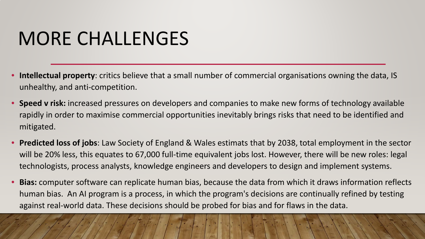## MORE CHALLENGES

- **Intellectual property**: critics believe that a small number of commercial organisations owning the data, IS unhealthy, and anti-competition.
- **Speed v risk:** increased pressures on developers and companies to make new forms of technology available rapidly in order to maximise commercial opportunities inevitably brings risks that need to be identified and mitigated.
- **Predicted loss of jobs**: Law Society of England & Wales estimats that by 2038, total employment in the sector will be 20% less, this equates to 67,000 full-time equivalent jobs lost. However, there will be new roles: legal technologists, process analysts, knowledge engineers and developers to design and implement systems.
- **Bias:** computer software can replicate human bias, because the data from which it draws information reflects human bias. An AI program is a process, in which the program's decisions are continually refined by testing against real-world data. These decisions should be probed for bias and for flaws in the data.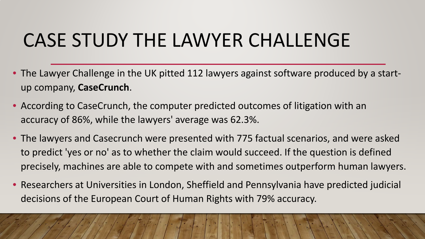# CASE STUDY THE LAWYER CHALLENGE

- The Lawyer Challenge in the UK pitted 112 lawyers against software produced by a startup company, **CaseCrunch**.
- According to CaseCrunch, the computer predicted outcomes of litigation with an accuracy of 86%, while the lawyers' average was 62.3%.
- The lawyers and Casecrunch were presented with 775 factual scenarios, and were asked to predict 'yes or no' as to whether the claim would succeed. If the question is defined precisely, machines are able to compete with and sometimes outperform human lawyers.
- Researchers at Universities in London, Sheffield and Pennsylvania have predicted judicial decisions of the European Court of Human Rights with 79% accuracy.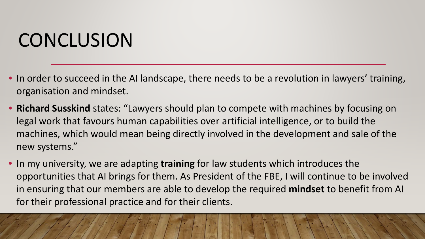# **CONCLUSION**

- In order to succeed in the AI landscape, there needs to be a revolution in lawyers' training, organisation and mindset.
- **Richard Susskind** states: "Lawyers should plan to compete with machines by focusing on legal work that favours human capabilities over artificial intelligence, or to build the machines, which would mean being directly involved in the development and sale of the new systems."
- In my university, we are adapting **training** for law students which introduces the opportunities that AI brings for them. As President of the FBE, I will continue to be involved in ensuring that our members are able to develop the required **mindset** to benefit from AI for their professional practice and for their clients.